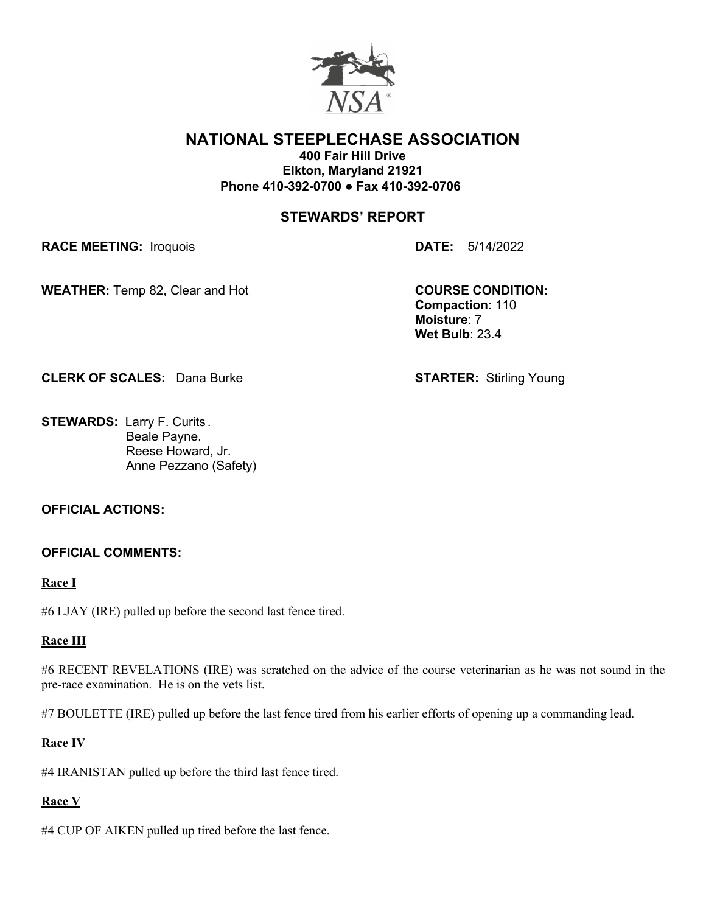

#### **NATIONAL STEEPLECHASE ASSOCIATION 400 Fair Hill Drive**

**Elkton, Maryland 21921 Phone 410-392-0700** ● **Fax 410-392-0706**

# **STEWARDS' REPORT**

**RACE MEETING:** Iroquois **DATE:** 5/14/2022

**WEATHER:** Temp 82, Clear and Hot **COURSE CONDITION:** 

**Compaction**: 110 **Moisture**: 7 **Wet Bulb**: 23.4

**CLERK OF SCALES:** Dana Burke **STARTER:** Stirling Young

**STEWARDS:** Larry F. Curits . Beale Payne. Reese Howard, Jr. Anne Pezzano (Safety)

## **OFFICIAL ACTIONS:**

## **OFFICIAL COMMENTS:**

#### **Race I**

#6 LJAY (IRE) pulled up before the second last fence tired.

## **Race III**

#6 RECENT REVELATIONS (IRE) was scratched on the advice of the course veterinarian as he was not sound in the pre-race examination. He is on the vets list.

#7 BOULETTE (IRE) pulled up before the last fence tired from his earlier efforts of opening up a commanding lead.

## **Race IV**

#4 IRANISTAN pulled up before the third last fence tired.

## **Race V**

#4 CUP OF AIKEN pulled up tired before the last fence.